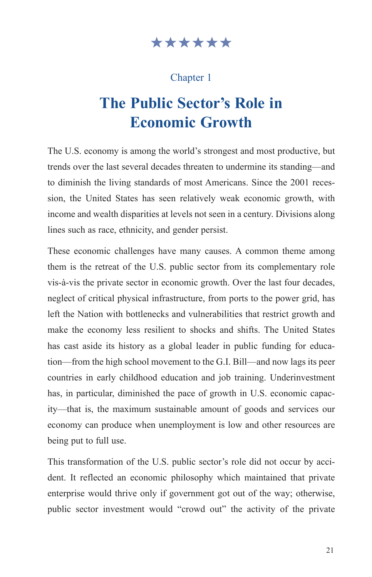## \*\*\*\*\*\*

## Chapter 1

# **The Public Sector's Role in Economic Growth**

The U.S. economy is among the world's strongest and most productive, but trends over the last several decades threaten to undermine its standing—and to diminish the living standards of most Americans. Since the 2001 recession, the United States has seen relatively weak economic growth, with income and wealth disparities at levels not seen in a century. Divisions along lines such as race, ethnicity, and gender persist.

These economic challenges have many causes. A common theme among them is the retreat of the U.S. public sector from its complementary role vis-à-vis the private sector in economic growth. Over the last four decades, neglect of critical physical infrastructure, from ports to the power grid, has left the Nation with bottlenecks and vulnerabilities that restrict growth and make the economy less resilient to shocks and shifts. The United States has cast aside its history as a global leader in public funding for education—from the high school movement to the G.I. Bill—and now lags its peer countries in early childhood education and job training. Underinvestment has, in particular, diminished the pace of growth in U.S. economic capacity—that is, the maximum sustainable amount of goods and services our economy can produce when unemployment is low and other resources are being put to full use.

This transformation of the U.S. public sector's role did not occur by accident. It reflected an economic philosophy which maintained that private enterprise would thrive only if government got out of the way; otherwise, public sector investment would "crowd out" the activity of the private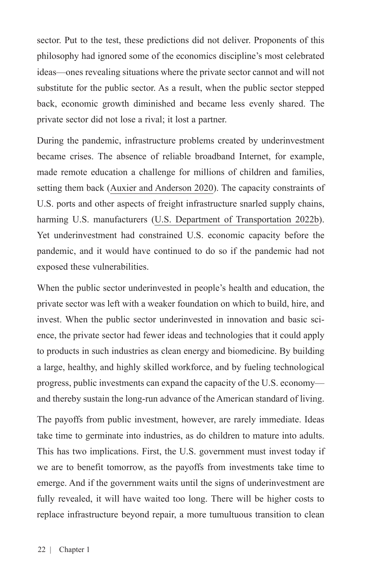sector. Put to the test, these predictions did not deliver. Proponents of this philosophy had ignored some of the economics discipline's most celebrated ideas—ones revealing situations where the private sector cannot and will not substitute for the public sector. As a result, when the public sector stepped back, economic growth diminished and became less evenly shared. The private sector did not lose a rival; it lost a partner.

During the pandemic, infrastructure problems created by underinvestment became crises. The absence of reliable broadband Internet, for example, made remote education a challenge for millions of children and families, setting them back [\(Auxier and Anderson 2020\)](https://www.pewresearch.org/fact-tank/2020/03/16/as-schools-close-due-to-the-coronavirus-some-u-s-students-face-a-digital-homework-gap/). The capacity constraints of U.S. ports and other aspects of freight infrastructure snarled supply chains, harming U.S. manufacturers ([U.S. Department of Transportation 2022b\)](https://www.transportation.gov/briefing-room/transportation-supply-chain-indicators). Yet underinvestment had constrained U.S. economic capacity before the pandemic, and it would have continued to do so if the pandemic had not exposed these vulnerabilities.

When the public sector underinvested in people's health and education, the private sector was left with a weaker foundation on which to build, hire, and invest. When the public sector underinvested in innovation and basic science, the private sector had fewer ideas and technologies that it could apply to products in such industries as clean energy and biomedicine. By building a large, healthy, and highly skilled workforce, and by fueling technological progress, public investments can expand the capacity of the U.S. economy and thereby sustain the long-run advance of the American standard of living.

The payoffs from public investment, however, are rarely immediate. Ideas take time to germinate into industries, as do children to mature into adults. This has two implications. First, the U.S. government must invest today if we are to benefit tomorrow, as the payoffs from investments take time to emerge. And if the government waits until the signs of underinvestment are fully revealed, it will have waited too long. There will be higher costs to replace infrastructure beyond repair, a more tumultuous transition to clean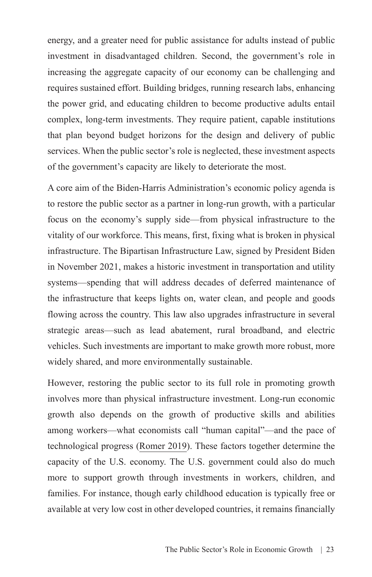energy, and a greater need for public assistance for adults instead of public investment in disadvantaged children. Second, the government's role in increasing the aggregate capacity of our economy can be challenging and requires sustained effort. Building bridges, running research labs, enhancing the power grid, and educating children to become productive adults entail complex, long-term investments. They require patient, capable institutions that plan beyond budget horizons for the design and delivery of public services. When the public sector's role is neglected, these investment aspects of the government's capacity are likely to deteriorate the most.

A core aim of the Biden-Harris Administration's economic policy agenda is to restore the public sector as a partner in long-run growth, with a particular focus on the economy's supply side—from physical infrastructure to the vitality of our workforce. This means, first, fixing what is broken in physical infrastructure. The Bipartisan Infrastructure Law, signed by President Biden in November 2021, makes a historic investment in transportation and utility systems—spending that will address decades of deferred maintenance of the infrastructure that keeps lights on, water clean, and people and goods flowing across the country. This law also upgrades infrastructure in several strategic areas—such as lead abatement, rural broadband, and electric vehicles. Such investments are important to make growth more robust, more widely shared, and more environmentally sustainable.

However, restoring the public sector to its full role in promoting growth involves more than physical infrastructure investment. Long-run economic growth also depends on the growth of productive skills and abilities among workers—what economists call "human capital"—and the pace of technological progress [\(Romer 2019](https://www.mheducation.com/highered/product/advanced-macroeconomics-romer/M9781260185218.html)). These factors together determine the capacity of the U.S. economy. The U.S. government could also do much more to support growth through investments in workers, children, and families. For instance, though early childhood education is typically free or available at very low cost in other developed countries, it remains financially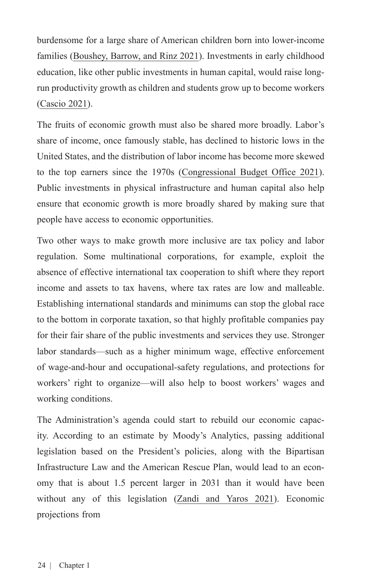burdensome for a large share of American children born into lower-income families [\(Boushey, Barrow, and Rinz 2021](https://www.whitehouse.gov/cea/written-materials/2021/05/28/supporting-labor-supply-in-the-american-jobs-plan-and-the-american-families-plan/)). Investments in early childhood education, like other public investments in human capital, would raise longrun productivity growth as children and students grow up to become workers ([Cascio 2021](https://www.nber.org/papers/w28722)).

The fruits of economic growth must also be shared more broadly. Labor's share of income, once famously stable, has declined to historic lows in the United States, and the distribution of labor income has become more skewed to the top earners since the 1970s ([Congressional Budget Office 2021\)](https://www.cbo.gov/system/files/2021-08/57061-Distribution-Household-Income.pdf). Public investments in physical infrastructure and human capital also help ensure that economic growth is more broadly shared by making sure that people have access to economic opportunities.

Two other ways to make growth more inclusive are tax policy and labor regulation. Some multinational corporations, for example, exploit the absence of effective international tax cooperation to shift where they report income and assets to tax havens, where tax rates are low and malleable. Establishing international standards and minimums can stop the global race to the bottom in corporate taxation, so that highly profitable companies pay for their fair share of the public investments and services they use. Stronger labor standards—such as a higher minimum wage, effective enforcement of wage-and-hour and occupational-safety regulations, and protections for workers' right to organize—will also help to boost workers' wages and working conditions.

The Administration's agenda could start to rebuild our economic capacity. According to an estimate by Moody's Analytics, passing additional legislation based on the President's policies, along with the Bipartisan Infrastructure Law and the American Rescue Plan, would lead to an economy that is about 1.5 percent larger in 2031 than it would have been without any of this legislation [\(Zandi and Yaros 2021](https://www.moodysanalytics.com/-/media/article/2021/macroeconomic-consequences-of-the-infrastructure-investment-and-jobs-act-and-build-back-better-framework.pdf)). Economic projections from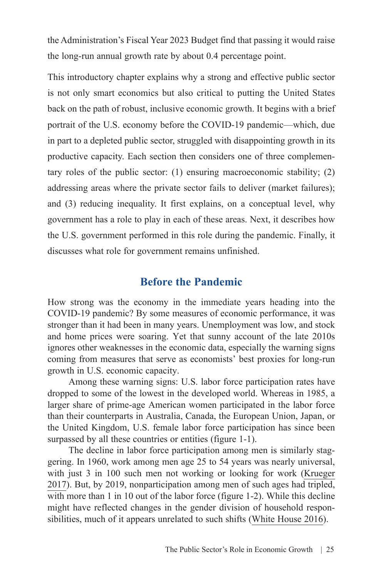the Administration's Fiscal Year 2023 Budget find that passing it would raise the long-run annual growth rate by about 0.4 percentage point.

This introductory chapter explains why a strong and effective public sector is not only smart economics but also critical to putting the United States back on the path of robust, inclusive economic growth. It begins with a brief portrait of the U.S. economy before the COVID-19 pandemic—which, due in part to a depleted public sector, struggled with disappointing growth in its productive capacity. Each section then considers one of three complementary roles of the public sector: (1) ensuring macroeconomic stability; (2) addressing areas where the private sector fails to deliver (market failures); and (3) reducing inequality. It first explains, on a conceptual level, why government has a role to play in each of these areas. Next, it describes how the U.S. government performed in this role during the pandemic. Finally, it discusses what role for government remains unfinished.

## **Before the Pandemic**

How strong was the economy in the immediate years heading into the COVID-19 pandemic? By some measures of economic performance, it was stronger than it had been in many years. Unemployment was low, and stock and home prices were soaring. Yet that sunny account of the late 2010s ignores other weaknesses in the economic data, especially the warning signs coming from measures that serve as economists' best proxies for long-run growth in U.S. economic capacity.

Among these warning signs: U.S. labor force participation rates have dropped to some of the lowest in the developed world. Whereas in 1985, a larger share of prime-age American women participated in the labor force than their counterparts in Australia, Canada, the European Union, Japan, or the United Kingdom, U.S. female labor force participation has since been surpassed by all these countries or entities (figure 1-1).

The decline in labor force participation among men is similarly staggering. In 1960, work among men age 25 to 54 years was nearly universal, with just 3 in 100 such men not working or looking for work ([Krueger](https://www.brookings.edu/bpea-articles/where-have-all-the-workers-gone-an-inquiry-into-the-decline-of-the-u-s-labor-force-participation-rate/) [2017\)](https://www.brookings.edu/bpea-articles/where-have-all-the-workers-gone-an-inquiry-into-the-decline-of-the-u-s-labor-force-participation-rate/). But, by 2019, nonparticipation among men of such ages had tripled, with more than 1 in 10 out of the labor force (figure 1-2). While this decline might have reflected changes in the gender division of household responsibilities, much of it appears unrelated to such shifts [\(White House 2016](https://obamawhitehouse.archives.gov/sites/default/files/page/files/20160620_cea_primeage_male_lfp.pdf)).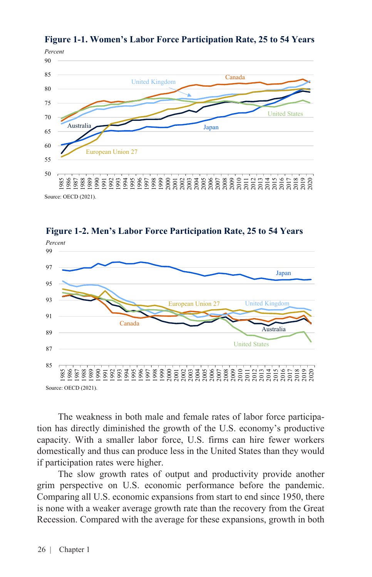

**Figure 1-1. Women's Labor Force Participation Rate, 25 to 54 Years**



**Figure 1-2. Men's Labor Force Participation Rate, 25 to 54 Years**

The weakness in both male and female rates of labor force participation has directly diminished the growth of the U.S. economy's productive capacity. With a smaller labor force, U.S. firms can hire fewer workers domestically and thus can produce less in the United States than they would if participation rates were higher.

The slow growth rates of output and productivity provide another grim perspective on U.S. economic performance before the pandemic. Comparing all U.S. economic expansions from start to end since 1950, there is none with a weaker average growth rate than the recovery from the Great Recession. Compared with the average for these expansions, growth in both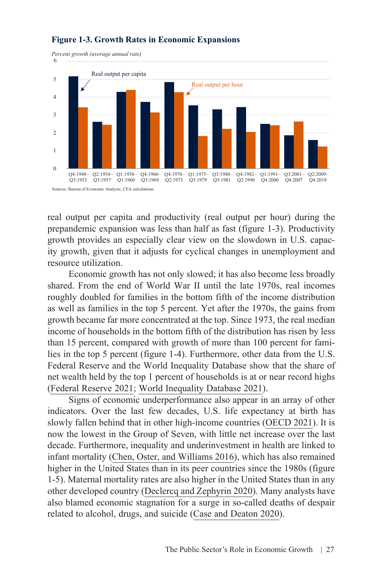

#### **Figure 1-3. Growth Rates in Economic Expansions**

real output per capita and productivity (real output per hour) during the prepandemic expansion was less than half as fast (figure 1-3). Productivity growth provides an especially clear view on the slowdown in U.S. capacity growth, given that it adjusts for cyclical changes in unemployment and resource utilization.

Economic growth has not only slowed; it has also become less broadly shared. From the end of World War II until the late 1970s, real incomes roughly doubled for families in the bottom fifth of the income distribution as well as families in the top 5 percent. Yet after the 1970s, the gains from growth became far more concentrated at the top. Since 1973, the real median income of households in the bottom fifth of the distribution has risen by less than 15 percent, compared with growth of more than 100 percent for families in the top 5 percent (figure 1-4). Furthermore, other data from the U.S. Federal Reserve and the World Inequality Database show that the share of net wealth held by the top 1 percent of households is at or near record highs ([Federal Reserve 2021;](https://www.federalreserve.gov/releases/z1/dataviz/dfa/distribute/chart/) [World Inequality Database 2021\)](http://wid.world/).

Signs of economic underperformance also appear in an array of other indicators. Over the last few decades, U.S. life expectancy at birth has slowly fallen behind that in other high-income countries [\(OECD 2021\)](https://data.oecd.org/healthstat/life-expectancy-at-birth.htm). It is now the lowest in the Group of Seven, with little net increase over the last decade. Furthermore, inequality and underinvestment in health are linked to infant mortality [\(Chen, Oster, and Williams 2016](https://www.aeaweb.org/articles?id=10.1257/pol.20140224)), which has also remained higher in the United States than in its peer countries since the 1980s (figure 1-5). Maternal mortality rates are also higher in the United States than in any other developed country [\(Declercq and Zephyrin 2020](http://www.commonwealthfund.org/publications/issue-brief-report/2020/dec/maternal-mortality-united-states-primer)). Many analysts have also blamed economic stagnation for a surge in so-called deaths of despair related to alcohol, drugs, and suicide ([Case and Deaton 2020\)](https://press.princeton.edu/books/hardcover/9780691190785/deaths-of-despair-and-the-future-of-capitalism).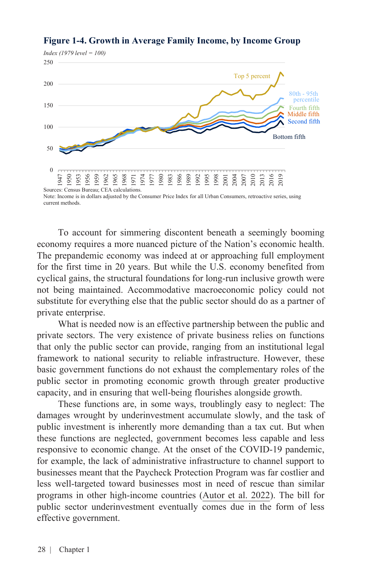

## **Figure 1-4. Growth in Average Family Income, by Income Group**

To account for simmering discontent beneath a seemingly booming economy requires a more nuanced picture of the Nation's economic health. The prepandemic economy was indeed at or approaching full employment for the first time in 20 years. But while the U.S. economy benefited from cyclical gains, the structural foundations for long-run inclusive growth were not being maintained. Accommodative macroeconomic policy could not substitute for everything else that the public sector should do as a partner of private enterprise.

What is needed now is an effective partnership between the public and private sectors. The very existence of private business relies on functions that only the public sector can provide, ranging from an institutional legal framework to national security to reliable infrastructure. However, these basic government functions do not exhaust the complementary roles of the public sector in promoting economic growth through greater productive capacity, and in ensuring that well-being flourishes alongside growth.

These functions are, in some ways, troublingly easy to neglect: The damages wrought by underinvestment accumulate slowly, and the task of public investment is inherently more demanding than a tax cut. But when these functions are neglected, government becomes less capable and less responsive to economic change. At the onset of the COVID-19 pandemic, for example, the lack of administrative infrastructure to channel support to businesses meant that the Paycheck Protection Program was far costlier and less well-targeted toward businesses most in need of rescue than similar programs in other high-income countries [\(Autor et al. 2022](https://www.nber.org/papers/w29669)). The bill for public sector underinvestment eventually comes due in the form of less effective government.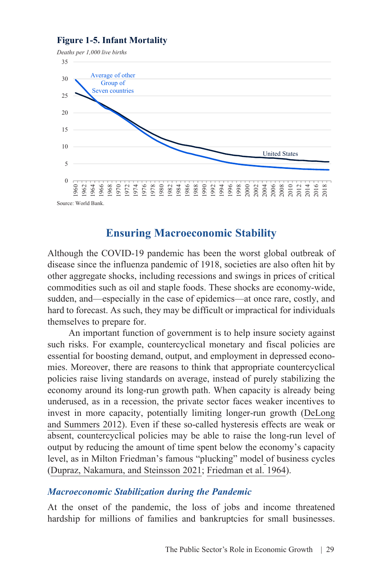#### **Figure 1-5. Infant Mortality**



### **Ensuring Macroeconomic Stability**

Although the COVID-19 pandemic has been the worst global outbreak of disease since the influenza pandemic of 1918, societies are also often hit by other aggregate shocks, including recessions and swings in prices of critical commodities such as oil and staple foods. These shocks are economy-wide, sudden, and—especially in the case of epidemics—at once rare, costly, and hard to forecast. As such, they may be difficult or impractical for individuals themselves to prepare for.

An important function of government is to help insure society against such risks. For example, countercyclical monetary and fiscal policies are essential for boosting demand, output, and employment in depressed economies. Moreover, there are reasons to think that appropriate countercyclical policies raise living standards on average, instead of purely stabilizing the economy around its long-run growth path. When capacity is already being underused, as in a recession, the private sector faces weaker incentives to invest in more capacity, potentially limiting longer-run growth ([DeLong](https://www.brookings.edu/wp-content/uploads/2012/03/2012a_delong.pdf) [and Summers 2012](https://www.brookings.edu/wp-content/uploads/2012/03/2012a_delong.pdf)). Even if these so-called hysteresis effects are weak or absent, countercyclical policies may be able to raise the long-run level of output by reducing the amount of time spent below the economy's capacity level, as in Milton Friedman's famous "plucking" model of business cycles ([Dupraz, Nakamura, and Steinsson 2021](https://www.nber.org/papers/w26351); [Friedman et al. 1964](https://www.nber.org/books-and-chapters/national-bureau-enters-its-forty-fifth-year/reports-selected-bureau-programs)).

#### *Macroeconomic Stabilization during the Pandemic*

At the onset of the pandemic, the loss of jobs and income threatened hardship for millions of families and bankruptcies for small businesses.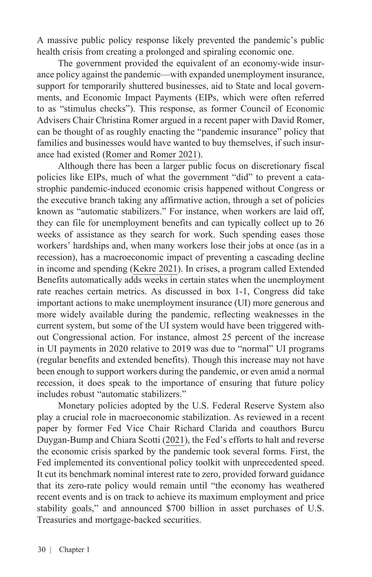A massive public policy response likely prevented the pandemic's public health crisis from creating a prolonged and spiraling economic one.

The government provided the equivalent of an economy-wide insurance policy against the pandemic—with expanded unemployment insurance, support for temporarily shuttered businesses, aid to State and local governments, and Economic Impact Payments (EIPs, which were often referred to as "stimulus checks"). This response, as former Council of Economic Advisers Chair Christina Romer argued in a recent paper with David Romer, can be thought of as roughly enacting the "pandemic insurance" policy that families and businesses would have wanted to buy themselves, if such insurance had existed [\(Romer and Romer 2021\)](https://www.nber.org/papers/w29419).

Although there has been a larger public focus on discretionary fiscal policies like EIPs, much of what the government "did" to prevent a catastrophic pandemic-induced economic crisis happened without Congress or the executive branch taking any affirmative action, through a set of policies known as "automatic stabilizers." For instance, when workers are laid off, they can file for unemployment benefits and can typically collect up to 26 weeks of assistance as they search for work. Such spending eases those workers' hardships and, when many workers lose their jobs at once (as in a recession), has a macroeconomic impact of preventing a cascading decline in income and spending [\(Kekre 2021\)](https://www.nber.org/papers/w29505). In crises, a program called Extended Benefits automatically adds weeks in certain states when the unemployment rate reaches certain metrics. As discussed in box 1-1, Congress did take important actions to make unemployment insurance (UI) more generous and more widely available during the pandemic, reflecting weaknesses in the current system, but some of the UI system would have been triggered without Congressional action. For instance, almost 25 percent of the increase in UI payments in 2020 relative to 2019 was due to "normal" UI programs (regular benefits and extended benefits). Though this increase may not have been enough to support workers during the pandemic, or even amid a normal recession, it does speak to the importance of ensuring that future policy includes robust "automatic stabilizers."

Monetary policies adopted by the U.S. Federal Reserve System also play a crucial role in macroeconomic stabilization. As reviewed in a recent paper by former Fed Vice Chair Richard Clarida and coauthors Burcu Duygan-Bump and Chiara Scotti [\(2021\)](https://www.federalreserve.gov/econres/feds/files/2021035pap.pdf), the Fed's efforts to halt and reverse the economic crisis sparked by the pandemic took several forms. First, the Fed implemented its conventional policy toolkit with unprecedented speed. It cut its benchmark nominal interest rate to zero, provided forward guidance that its zero-rate policy would remain until "the economy has weathered recent events and is on track to achieve its maximum employment and price stability goals," and announced \$700 billion in asset purchases of U.S. Treasuries and mortgage-backed securities.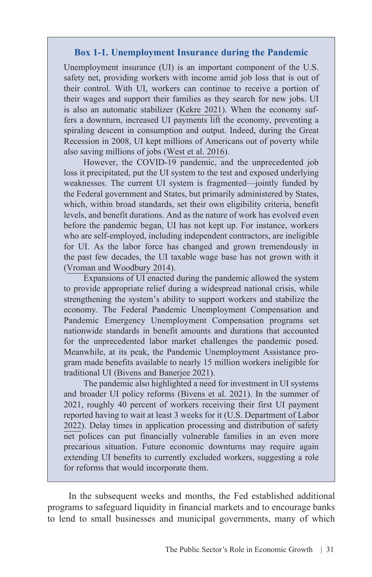#### **Box 1-1. Unemployment Insurance during the Pandemic**

Unemployment insurance (UI) is an important component of the U.S. safety net, providing workers with income amid job loss that is out of their control. With UI, workers can continue to receive a portion of their wages and support their families as they search for new jobs. UI is also an automatic stabilizer [\(Kekre 2021](https://www.nber.org/papers/w29505)). When the economy suffers a downturn, increased UI payments lift the economy, preventing a spiraling descent in consumption and output. Indeed, during the Great Recession in 2008, UI kept millions of Americans out of poverty while also saving millions of jobs ([West et al. 2016](https://www.americanprogress.org/article/strengthening-unemployment-protections-in-america/)).

However, the COVID-19 pandemic, and the unprecedented job loss it precipitated, put the UI system to the test and exposed underlying weaknesses. The current UI system is fragmented—jointly funded by the Federal government and States, but primarily administered by States, which, within broad standards, set their own eligibility criteria, benefit levels, and benefit durations. And as the nature of work has evolved even before the pandemic began, UI has not kept up. For instance, workers who are self-employed, including independent contractors, are ineligible for UI. As the labor force has changed and grown tremendously in the past few decades, the UI taxable wage base has not grown with it ([Vroman and Woodbury 2014](https://www.journals.uchicago.edu/doi/abs/10.17310/ntj.2014.1.08)).

Expansions of UI enacted during the pandemic allowed the system to provide appropriate relief during a widespread national crisis, while strengthening the system's ability to support workers and stabilize the economy. The Federal Pandemic Unemployment Compensation and Pandemic Emergency Unemployment Compensation programs set nationwide standards in benefit amounts and durations that accounted for the unprecedented labor market challenges the pandemic posed. Meanwhile, at its peak, the Pandemic Unemployment Assistance program made benefits available to nearly 15 million workers ineligible for traditional UI ([Bivens and Banerjee 2021\)](https://www.epi.org/publication/how-to-boost-unemployment-insurance-as-a-macroeconomic-stabilizer-lessons-from-the-2020-pandemic-programs/).

The pandemic also highlighted a need for investment in UI systems and broader UI policy reforms ([Bivens et al. 2021](https://www.epi.org/publication/unemployment-insurance-reform/)). In the summer of 2021, roughly 40 percent of workers receiving their first UI payment reported having to wait at least 3 weeks for it [\(U.S. Department of Labor](https://oui.doleta.gov/unemploy/btq.asp) [2022](https://oui.doleta.gov/unemploy/btq.asp)). Delay times in application processing and distribution of safety net polices can put financially vulnerable families in an even more precarious situation. Future economic downturns may require again extending UI benefits to currently excluded workers, suggesting a role for reforms that would incorporate them.

In the subsequent weeks and months, the Fed established additional programs to safeguard liquidity in financial markets and to encourage banks to lend to small businesses and municipal governments, many of which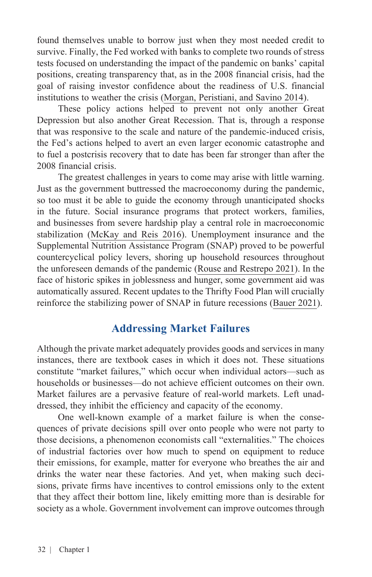found themselves unable to borrow just when they most needed credit to survive. Finally, the Fed worked with banks to complete two rounds of stress tests focused on understanding the impact of the pandemic on banks' capital positions, creating transparency that, as in the 2008 financial crisis, had the goal of raising investor confidence about the readiness of U.S. financial institutions to weather the crisis [\(Morgan, Peristiani, and Savino 2014](https://onlinelibrary.wiley.com/doi/abs/10.1111/jmcb.12146)).

These policy actions helped to prevent not only another Great Depression but also another Great Recession. That is, through a response that was responsive to the scale and nature of the pandemic-induced crisis, the Fed's actions helped to avert an even larger economic catastrophe and to fuel a postcrisis recovery that to date has been far stronger than after the 2008 financial crisis.

The greatest challenges in years to come may arise with little warning. Just as the government buttressed the macroeconomy during the pandemic, so too must it be able to guide the economy through unanticipated shocks in the future. Social insurance programs that protect workers, families, and businesses from severe hardship play a central role in macroeconomic stabilization [\(McKay and Reis 2016](https://onlinelibrary.wiley.com/doi/abs/10.3982/ECTA11574)). Unemployment insurance and the Supplemental Nutrition Assistance Program (SNAP) proved to be powerful countercyclical policy levers, shoring up household resources throughout the unforeseen demands of the pandemic ([Rouse and Restrepo 2021](https://www.whitehouse.gov/cea/written-materials/2021/07/01/federal-income-support-helps-boost-food-security-rates/)). In the face of historic spikes in joblessness and hunger, some government aid was automatically assured. Recent updates to the Thrifty Food Plan will crucially reinforce the stabilizing power of SNAP in future recessions [\(Bauer 2021\)](https://www.brookings.edu/blog/up-front/2021/08/19/a-healthy-reform-to-the-supplemental-nutrition-assistance-program-updating-the-thrifty-food-plan/).

## **Addressing Market Failures**

Although the private market adequately provides goods and services in many instances, there are textbook cases in which it does not. These situations constitute "market failures," which occur when individual actors—such as households or businesses—do not achieve efficient outcomes on their own. Market failures are a pervasive feature of real-world markets. Left unaddressed, they inhibit the efficiency and capacity of the economy.

One well-known example of a market failure is when the consequences of private decisions spill over onto people who were not party to those decisions, a phenomenon economists call "externalities." The choices of industrial factories over how much to spend on equipment to reduce their emissions, for example, matter for everyone who breathes the air and drinks the water near these factories. And yet, when making such decisions, private firms have incentives to control emissions only to the extent that they affect their bottom line, likely emitting more than is desirable for society as a whole. Government involvement can improve outcomes through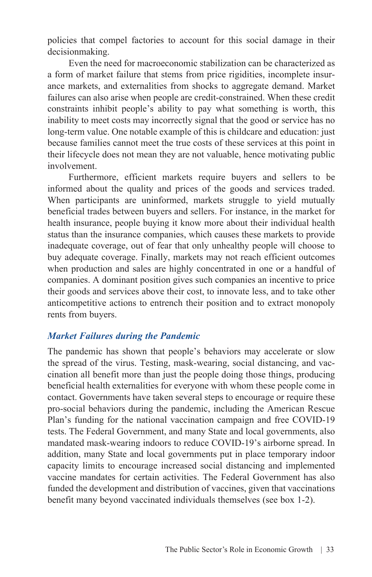policies that compel factories to account for this social damage in their decisionmaking.

Even the need for macroeconomic stabilization can be characterized as a form of market failure that stems from price rigidities, incomplete insurance markets, and externalities from shocks to aggregate demand. Market failures can also arise when people are credit-constrained. When these credit constraints inhibit people's ability to pay what something is worth, this inability to meet costs may incorrectly signal that the good or service has no long-term value. One notable example of this is childcare and education: just because families cannot meet the true costs of these services at this point in their lifecycle does not mean they are not valuable, hence motivating public involvement.

Furthermore, efficient markets require buyers and sellers to be informed about the quality and prices of the goods and services traded. When participants are uninformed, markets struggle to yield mutually beneficial trades between buyers and sellers. For instance, in the market for health insurance, people buying it know more about their individual health status than the insurance companies, which causes these markets to provide inadequate coverage, out of fear that only unhealthy people will choose to buy adequate coverage. Finally, markets may not reach efficient outcomes when production and sales are highly concentrated in one or a handful of companies. A dominant position gives such companies an incentive to price their goods and services above their cost, to innovate less, and to take other anticompetitive actions to entrench their position and to extract monopoly rents from buyers.

#### *Market Failures during the Pandemic*

The pandemic has shown that people's behaviors may accelerate or slow the spread of the virus. Testing, mask-wearing, social distancing, and vaccination all benefit more than just the people doing those things, producing beneficial health externalities for everyone with whom these people come in contact. Governments have taken several steps to encourage or require these pro-social behaviors during the pandemic, including the American Rescue Plan's funding for the national vaccination campaign and free COVID-19 tests. The Federal Government, and many State and local governments, also mandated mask-wearing indoors to reduce COVID-19's airborne spread. In addition, many State and local governments put in place temporary indoor capacity limits to encourage increased social distancing and implemented vaccine mandates for certain activities. The Federal Government has also funded the development and distribution of vaccines, given that vaccinations benefit many beyond vaccinated individuals themselves (see box 1-2).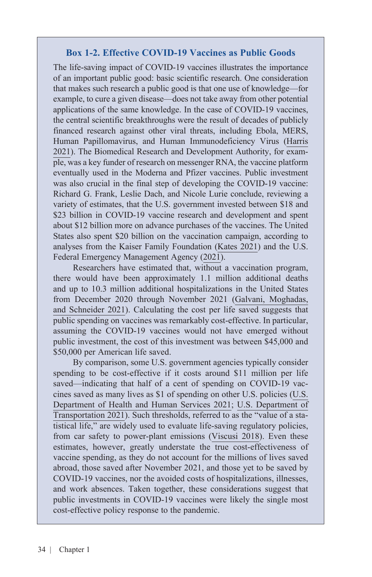#### **Box 1-2. Effective COVID-19 Vaccines as Public Goods**

The life-saving impact of COVID-19 vaccines illustrates the importance of an important public good: basic scientific research. One consideration that makes such research a public good is that one use of knowledge—for example, to cure a given disease—does not take away from other potential applications of the same knowledge. In the case of COVID-19 vaccines, the central scientific breakthroughs were the result of decades of publicly financed research against other viral threats, including Ebola, MERS, Human Papillomavirus, and Human Immunodeficiency Virus ([Harris](https://www.nber.org/papers/w28587) [2021](https://www.nber.org/papers/w28587)). The Biomedical Research and Development Authority, for example, was a key funder of research on messenger RNA, the vaccine platform eventually used in the Moderna and Pfizer vaccines. Public investment was also crucial in the final step of developing the COVID-19 vaccine: Richard G. Frank, Leslie Dach, and Nicole Lurie conclude, reviewing a variety of estimates, that the U.S. government invested between \$18 and \$23 billion in COVID-19 vaccine research and development and spent about \$12 billion more on advance purchases of the vaccines. The United States also spent \$20 billion on the vaccination campaign, according to analyses from the Kaiser Family Foundation [\(Kates 2021](https://www.kff.org/policy-watch/whats-in-the-american-rescue-plan-for-covid-19-vaccine-and-other-public-health-efforts/)) and the U.S. Federal Emergency Management Agency [\(2021\)](https://www.fema.gov/disaster/coronavirus).

Researchers have estimated that, without a vaccination program, there would have been approximately 1.1 million additional deaths and up to 10.3 million additional hospitalizations in the United States from December 2020 through November 2021 [\(Galvani, Moghadas,](https://www.commonwealthfund.org/publications/issue-briefs/2021/jul/deaths-and-hospitalizations-averted-rapid-us-vaccination-rollout) [and Schneider 2021](https://www.commonwealthfund.org/publications/issue-briefs/2021/jul/deaths-and-hospitalizations-averted-rapid-us-vaccination-rollout)). Calculating the cost per life saved suggests that public spending on vaccines was remarkably cost-effective. In particular, assuming the COVID-19 vaccines would not have emerged without public investment, the cost of this investment was between \$45,000 and \$50,000 per American life saved.

By comparison, some U.S. government agencies typically consider spending to be cost-effective if it costs around \$11 million per life saved—indicating that half of a cent of spending on COVID-19 vaccines saved as many lives as \$1 of spending on other U.S. policies ([U.S.](https://aspe.hhs.gov/reports/updating-vsl-estimates) [Department of Health and Human Services 2021](https://aspe.hhs.gov/reports/updating-vsl-estimates); [U.S. Department of](https://www.transportation.gov/office-policy/transportation-policy/revised-departmental-guidance-on-valuation-of-a-statistical-life-in-economic-analysis) [Transportation 2021\)](https://www.transportation.gov/office-policy/transportation-policy/revised-departmental-guidance-on-valuation-of-a-statistical-life-in-economic-analysis). Such thresholds, referred to as the "value of a statistical life," are widely used to evaluate life-saving regulatory policies, from car safety to power-plant emissions ([Viscusi 2018\)](https://press.princeton.edu/books/hardcover/9780691179216/pricing-lives). Even these estimates, however, greatly understate the true cost-effectiveness of vaccine spending, as they do not account for the millions of lives saved abroad, those saved after November 2021, and those yet to be saved by COVID-19 vaccines, nor the avoided costs of hospitalizations, illnesses, and work absences. Taken together, these considerations suggest that public investments in COVID-19 vaccines were likely the single most cost-effective policy response to the pandemic.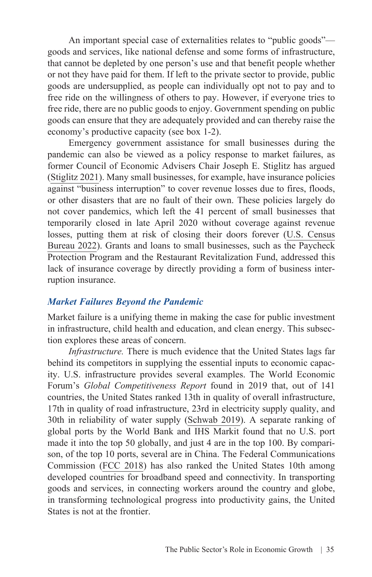An important special case of externalities relates to "public goods" goods and services, like national defense and some forms of infrastructure, that cannot be depleted by one person's use and that benefit people whether or not they have paid for them. If left to the private sector to provide, public goods are undersupplied, as people can individually opt not to pay and to free ride on the willingness of others to pay. However, if everyone tries to free ride, there are no public goods to enjoy. Government spending on public goods can ensure that they are adequately provided and can thereby raise the economy's productive capacity (see box 1-2).

Emergency government assistance for small businesses during the pandemic can also be viewed as a policy response to market failures, as former Council of Economic Advisers Chair Joseph E. Stiglitz has argued ([Stiglitz 2021\)](https://www.sciencedirect.com/science/article/pii/S2667319321000045). Many small businesses, for example, have insurance policies against "business interruption" to cover revenue losses due to fires, floods, or other disasters that are no fault of their own. These policies largely do not cover pandemics, which left the 41 percent of small businesses that temporarily closed in late April 2020 without coverage against revenue losses, putting them at risk of closing their doors forever ([U.S. Census](https://www.census.gov/data/experimental-data-products/small-business-pulse-survey.html)  [Bureau 2022](https://www.census.gov/data/experimental-data-products/small-business-pulse-survey.html)). Grants and loans to small businesses, such as the Paycheck Protection Program and the Restaurant Revitalization Fund, addressed this lack of insurance coverage by directly providing a form of business interruption insurance.

#### *Market Failures Beyond the Pandemic*

Market failure is a unifying theme in making the case for public investment in infrastructure, child health and education, and clean energy. This subsection explores these areas of concern.

*Infrastructure.* There is much evidence that the United States lags far behind its competitors in supplying the essential inputs to economic capacity. U.S. infrastructure provides several examples. The World Economic Forum's *Global Competitiveness Report* found in 2019 that, out of 141 countries, the United States ranked 13th in quality of overall infrastructure, 17th in quality of road infrastructure, 23rd in electricity supply quality, and 30th in reliability of water supply [\(Schwab 2019](https://www3.weforum.org/docs/WEF_TheGlobalCompetitivenessReport2019.pdf)). A separate ranking of global ports by the World Bank and IHS Markit found that no U.S. port made it into the top 50 globally, and just 4 are in the top 100. By comparison, of the top 10 ports, several are in China. The Federal Communications Commission ([FCC 2018](https://www.fcc.gov/reports-research/reports/international-broadband-data-reports/international-broadband-data-report-4)) has also ranked the United States 10th among developed countries for broadband speed and connectivity. In transporting goods and services, in connecting workers around the country and globe, in transforming technological progress into productivity gains, the United States is not at the frontier.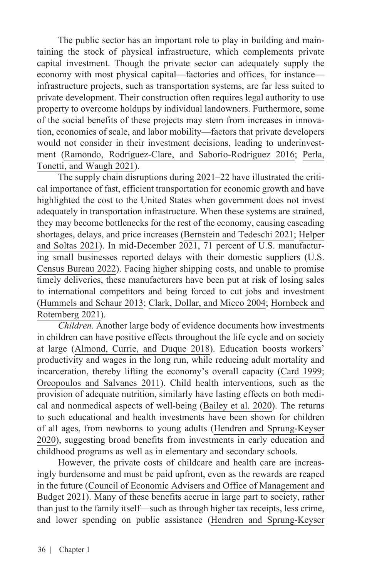The public sector has an important role to play in building and maintaining the stock of physical infrastructure, which complements private capital investment. Though the private sector can adequately supply the economy with most physical capital—factories and offices, for instance infrastructure projects, such as transportation systems, are far less suited to private development. Their construction often requires legal authority to use property to overcome holdups by individual landowners. Furthermore, some of the social benefits of these projects may stem from increases in innovation, economies of scale, and labor mobility—factors that private developers would not consider in their investment decisions, leading to underinvestment [\(Ramondo, Rodríguez-Clare, and Saborío-Rodríguez 2016](https://www.aeaweb.org/articles?id=10.1257/aer.20141449); [Perla,](https://www.aeaweb.org/articles?id=10.1257/aer.20151645)  [Tonetti, and Waugh 2021\)](https://www.aeaweb.org/articles?id=10.1257/aer.20151645).

The supply chain disruptions during 2021–22 have illustrated the critical importance of fast, efficient transportation for economic growth and have highlighted the cost to the United States when government does not invest adequately in transportation infrastructure. When these systems are strained, they may become bottlenecks for the rest of the economy, causing cascading shortages, delays, and price increases ([Bernstein and Tedeschi 2021](https://www.whitehouse.gov/cea/written-materials/2021/08/23/president-bidens-infrastructure-and-build-back-better-plans-an-antidote-for-inflationary-pressure/); [Helper](https://www.whitehouse.gov/cea/written-materials/2021/06/17/why-the-pandemic-has-disrupted-supply-chains/)  [and Soltas 2021\)](https://www.whitehouse.gov/cea/written-materials/2021/06/17/why-the-pandemic-has-disrupted-supply-chains/). In mid-December 2021, 71 percent of U.S. manufacturing small businesses reported delays with their domestic suppliers ([U.S.](https://www.census.gov/data/experimental-data-products/small-business-pulse-survey.html)  [Census Bureau 2022](https://www.census.gov/data/experimental-data-products/small-business-pulse-survey.html)). Facing higher shipping costs, and unable to promise timely deliveries, these manufacturers have been put at risk of losing sales to international competitors and being forced to cut jobs and investment ([Hummels and Schaur 2013](https://www.aeaweb.org/articles?id=10.1257/aer.103.7.2935); [Clark, Dollar, and Micco 2004](https://www.sciencedirect.com/science/article/abs/pii/S0304387804000689); [Hornbeck and](https://voices.uchicago.edu/richardhornbeck/files/2021/12/Railroads_HR_Dec2021.pdf)  [Rotemberg 2021](https://voices.uchicago.edu/richardhornbeck/files/2021/12/Railroads_HR_Dec2021.pdf)).

*Children.* Another large body of evidence documents how investments in children can have positive effects throughout the life cycle and on society at large ([Almond, Currie, and Duque 2018\)](https://www.aeaweb.org/articles?id=10.1257/jel.20171164). Education boosts workers' productivity and wages in the long run, while reducing adult mortality and incarceration, thereby lifting the economy's overall capacity [\(Card 1999](https://davidcard.berkeley.edu/papers/causal_educ_earnings.pdf); [Oreopoulos and Salvanes 2011](https://www.aeaweb.org/articles?id=10.1257/jep.25.1.159)). Child health interventions, such as the provision of adequate nutrition, similarly have lasting effects on both medical and nonmedical aspects of well-being ([Bailey et al. 2020](https://www.nber.org/papers/w26942)). The returns to such educational and health investments have been shown for children of all ages, from newborns to young adults [\(Hendren and Sprung-Keyser](https://academic.oup.com/qje/article/135/3/1209/5781614) [2020\)](https://academic.oup.com/qje/article/135/3/1209/5781614), suggesting broad benefits from investments in early education and childhood programs as well as in elementary and secondary schools.

However, the private costs of childcare and health care are increasingly burdensome and must be paid upfront, even as the rewards are reaped in the future [\(Council of Economic Advisers and Office of Management and](https://www.whitehouse.gov/wp-content/uploads/2021/08/Costs-Brief.pdf) [Budget 2021\)](https://www.whitehouse.gov/wp-content/uploads/2021/08/Costs-Brief.pdf). Many of these benefits accrue in large part to society, rather than just to the family itself—such as through higher tax receipts, less crime, and lower spending on public assistance ([Hendren and Sprung-Keyser](https://academic.oup.com/qje/article/135/3/1209/5781614)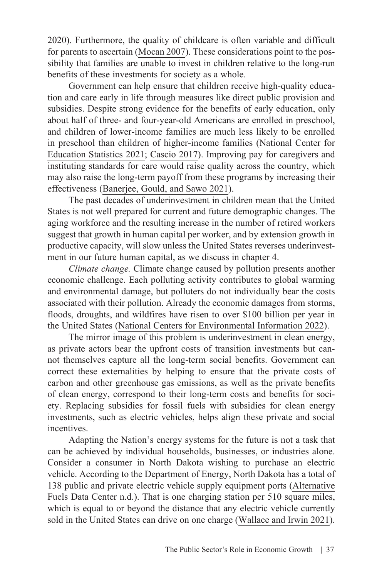[2020\)](https://academic.oup.com/qje/article/135/3/1209/5781614). Furthermore, the quality of childcare is often variable and difficult for parents to ascertain [\(Mocan 2007\)](https://link.springer.com/article/10.1007/s00148-006-0087-6). These considerations point to the possibility that families are unable to invest in children relative to the long-run benefits of these investments for society as a whole.

Government can help ensure that children receive high-quality education and care early in life through measures like direct public provision and subsidies. Despite strong evidence for the benefits of early education, only about half of three- and four-year-old Americans are enrolled in preschool, and children of lower-income families are much less likely to be enrolled in preschool than children of higher-income families ([National Center for](https://nces.ed.gov/programs/coe/indicator/cfa)  [Education Statistics 2021;](https://nces.ed.gov/programs/coe/indicator/cfa) [Cascio 2017\)](https://www.hamiltonproject.org/papers/public_investments_in_child_care). Improving pay for caregivers and instituting standards for care would raise quality across the country, which may also raise the long-term payoff from these programs by increasing their effectiveness ([Banerjee, Gould, and Sawo 2021\)](https://www.epi.org/publication/higher-wages-for-child-care-and-home-health-care-workers/).

The past decades of underinvestment in children mean that the United States is not well prepared for current and future demographic changes. The aging workforce and the resulting increase in the number of retired workers suggest that growth in human capital per worker, and by extension growth in productive capacity, will slow unless the United States reverses underinvestment in our future human capital, as we discuss in chapter 4.

*Climate change.* Climate change caused by pollution presents another economic challenge. Each polluting activity contributes to global warming and environmental damage, but polluters do not individually bear the costs associated with their pollution. Already the economic damages from storms, floods, droughts, and wildfires have risen to over \$100 billion per year in the United States ([National Centers for Environmental Information 2022](https://www.ncdc.noaa.gov/billions/time-series)).

The mirror image of this problem is underinvestment in clean energy, as private actors bear the upfront costs of transition investments but cannot themselves capture all the long-term social benefits. Government can correct these externalities by helping to ensure that the private costs of carbon and other greenhouse gas emissions, as well as the private benefits of clean energy, correspond to their long-term costs and benefits for society. Replacing subsidies for fossil fuels with subsidies for clean energy investments, such as electric vehicles, helps align these private and social incentives.

Adapting the Nation's energy systems for the future is not a task that can be achieved by individual households, businesses, or industries alone. Consider a consumer in North Dakota wishing to purchase an electric vehicle. According to the Department of Energy, North Dakota has a total of 138 public and private electric vehicle supply equipment ports ([Alternative](https://afdc.energy.gov/data/) [Fuels Data Center n.d.](https://afdc.energy.gov/data/)). That is one charging station per 510 square miles, which is equal to or beyond the distance that any electric vehicle currently sold in the United States can drive on one charge [\(Wallace and Irwin 2021\)](https://www.caranddriver.com/shopping-advice/g32634624/ev-longest-driving-range/).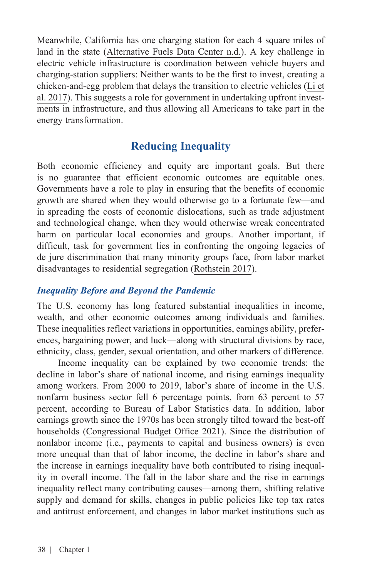Meanwhile, California has one charging station for each 4 square miles of land in the state [\(Alternative Fuels Data Center n.d.\)](https://afdc.energy.gov/data/). A key challenge in electric vehicle infrastructure is coordination between vehicle buyers and charging-station suppliers: Neither wants to be the first to invest, creating a chicken-and-egg problem that delays the transition to electric vehicles [\(Li et](https://www.journals.uchicago.edu/doi/10.1086/689702) [al. 2017](https://www.journals.uchicago.edu/doi/10.1086/689702)). This suggests a role for government in undertaking upfront investments in infrastructure, and thus allowing all Americans to take part in the energy transformation.

## **Reducing Inequality**

Both economic efficiency and equity are important goals. But there is no guarantee that efficient economic outcomes are equitable ones. Governments have a role to play in ensuring that the benefits of economic growth are shared when they would otherwise go to a fortunate few—and in spreading the costs of economic dislocations, such as trade adjustment and technological change, when they would otherwise wreak concentrated harm on particular local economies and groups. Another important, if difficult, task for government lies in confronting the ongoing legacies of de jure discrimination that many minority groups face, from labor market disadvantages to residential segregation [\(Rothstein 2017](https://www.epi.org/publication/the-color-of-law-a-forgotten-history-of-how-our-government-segregated-america/)).

#### *Inequality Before and Beyond the Pandemic*

The U.S. economy has long featured substantial inequalities in income, wealth, and other economic outcomes among individuals and families. These inequalities reflect variations in opportunities, earnings ability, preferences, bargaining power, and luck—along with structural divisions by race, ethnicity, class, gender, sexual orientation, and other markers of difference.

Income inequality can be explained by two economic trends: the decline in labor's share of national income, and rising earnings inequality among workers. From 2000 to 2019, labor's share of income in the U.S. nonfarm business sector fell 6 percentage points, from 63 percent to 57 percent, according to Bureau of Labor Statistics data. In addition, labor earnings growth since the 1970s has been strongly tilted toward the best-off households ([Congressional Budget Office 2021](https://www.cbo.gov/system/files/2021-08/57061-Distribution-Household-Income.pdf)). Since the distribution of nonlabor income (i.e., payments to capital and business owners) is even more unequal than that of labor income, the decline in labor's share and the increase in earnings inequality have both contributed to rising inequality in overall income. The fall in the labor share and the rise in earnings inequality reflect many contributing causes—among them, shifting relative supply and demand for skills, changes in public policies like top tax rates and antitrust enforcement, and changes in labor market institutions such as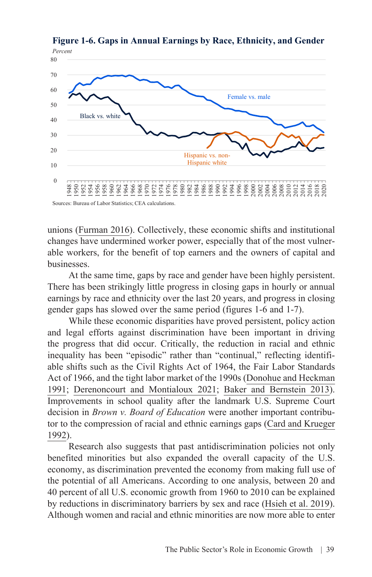

**Figure 1-6. Gaps in Annual Earnings by Race, Ethnicity, and Gender**

Sources: Bureau of Labor Statistics; CEA calculations.

unions [\(Furman 2016](https://obamawhitehouse.archives.gov/sites/default/files/page/files/20161017_furman_ccny_inequality_cea.pdf)). Collectively, these economic shifts and institutional changes have undermined worker power, especially that of the most vulnerable workers, for the benefit of top earners and the owners of capital and businesses.

At the same time, gaps by race and gender have been highly persistent. There has been strikingly little progress in closing gaps in hourly or annual earnings by race and ethnicity over the last 20 years, and progress in closing gender gaps has slowed over the same period (figures 1-6 and 1-7).

While these economic disparities have proved persistent, policy action and legal efforts against discrimination have been important in driving the progress that did occur. Critically, the reduction in racial and ethnic inequality has been "episodic" rather than "continual," reflecting identifiable shifts such as the Civil Rights Act of 1964, the Fair Labor Standards Act of 1966, and the tight labor market of the 1990s [\(Donohue and Heckman](https://www.jstor.org/stable/2727792) [1991;](https://www.jstor.org/stable/2727792) [Derenoncourt and Montialoux 2021](https://academic.oup.com/qje/article/136/1/169/5905427); [Baker and Bernstein 2013\)](https://cepr.net/book/getting-back-to-full-employment-a-better-bargain-for-working-people/). Improvements in school quality after the landmark U.S. Supreme Court decision in *Brown v. Board of Education* were another important contributor to the compression of racial and ethnic earnings gaps ([Card and Krueger](https://academic.oup.com/qje/article-abstract/107/1/151/1925804) [1992\)](https://academic.oup.com/qje/article-abstract/107/1/151/1925804).

Research also suggests that past antidiscrimination policies not only benefited minorities but also expanded the overall capacity of the U.S. economy, as discrimination prevented the economy from making full use of the potential of all Americans. According to one analysis, between 20 and 40 percent of all U.S. economic growth from 1960 to 2010 can be explained by reductions in discriminatory barriers by sex and race [\(Hsieh et al. 2019\)](https://onlinelibrary.wiley.com/doi/abs/10.3982/ECTA11427). Although women and racial and ethnic minorities are now more able to enter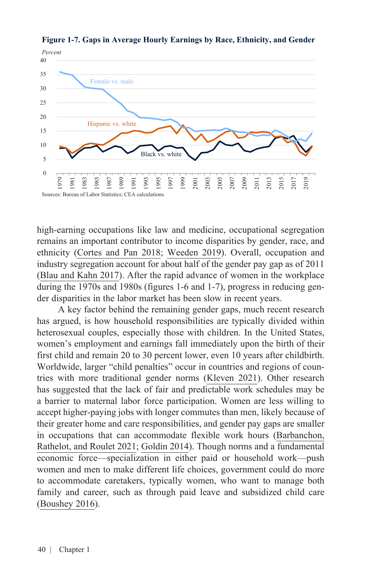

**Figure 1-7. Gaps in Average Hourly Earnings by Race, Ethnicity, and Gender**

high-earning occupations like law and medicine, occupational segregation remains an important contributor to income disparities by gender, race, and ethnicity ([Cortes and Pan 2018;](https://www.oxfordhandbooks.com/view/10.1093/oxfordhb/9780190628963.001.0001/oxfordhb-9780190628963-e-12) [Weeden 2019](https://inequality.stanford.edu/publications/media/details/state-union-2019-occupational-segregation-kim-weeden)). Overall, occupation and industry segregation account for about half of the gender pay gap as of 2011 ([Blau and Kahn 2017](https://www.aeaweb.org/articles?id=10.1257/jel.20160995)). After the rapid advance of women in the workplace during the 1970s and 1980s (figures 1-6 and 1-7), progress in reducing gender disparities in the labor market has been slow in recent years.

A key factor behind the remaining gender gaps, much recent research has argued, is how household responsibilities are typically divided within heterosexual couples, especially those with children. In the United States, women's employment and earnings fall immediately upon the birth of their first child and remain 20 to 30 percent lower, even 10 years after childbirth. Worldwide, larger "child penalties" occur in countries and regions of countries with more traditional gender norms [\(Kleven 2021\)](https://www.henrikkleven.com/uploads/3/7/3/1/37310663/zeuthen_lecture1_overview.pdf). Other research has suggested that the lack of fair and predictable work schedules may be a barrier to maternal labor force participation. Women are less willing to accept higher-paying jobs with longer commutes than men, likely because of their greater home and care responsibilities, and gender pay gaps are [smaller](https://scholar.harvard.edu/files/goldin/files/goldin_aeapress_2014_1.pdf) in occupations that can accommodate flexible work hours [\(Barbanchon,](https://academic.oup.com/qje/article/136/1/381/5928590)  [Rathelot, and Roulet 2021;](https://academic.oup.com/qje/article/136/1/381/5928590) [Goldin 2014\)](https://www.aeaweb.org/articles?id=10.1257/aer.104.4.1091). Though norms and a fundamental economic force—specialization in either paid or household work—push women and men to make different life choices, government could [do more](https://www.hup.harvard.edu/catalog.php?isbn=9780674660168) to accommodate caretakers, typically women, who want to manage both family and career, such as through paid leave and subsidized child care ([Boushey 2016\)](https://www.hup.harvard.edu/catalog.php?isbn=9780674660168).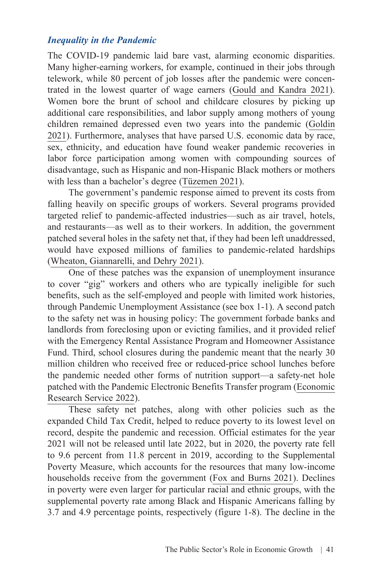#### *Inequality in the Pandemic*

The COVID-19 pandemic laid bare vast, alarming economic disparities. Many higher-earning workers, for example, continued in their jobs through telework, while 80 percent of job losses after the pandemic were concentrated in the lowest quarter of wage earners [\(Gould and Kandra 2021\)](https://www.epi.org/publication/state-of-working-america-wages-in-2020/). Women bore the brunt of school and childcare closures by picking up additional care responsibilities, and labor supply among mothers of young children remained depressed even two years into the pandemic [\(Goldin](https://press.princeton.edu/books/hardcover/9780691201788/career-and-family)  [2021\)](https://press.princeton.edu/books/hardcover/9780691201788/career-and-family). Furthermore, analyses that have parsed U.S. economic data by race, sex, ethnicity, and education have found weaker pandemic recoveries in labor force participation among women with compounding sources of disadvantage, such as Hispanic and non-Hispanic Black mothers or mothers with less than a bachelor's degree [\(Tüzemen 2021\)](https://www.kansascityfed.org/research/economic-review/women-without-a-college-degree-especially-minority-mothers-face-a-steeper-road-to-recovery/).

The government's pandemic response aimed to prevent its costs from falling heavily on specific groups of workers. Several programs provided targeted relief to pandemic-affected industries—such as air travel, hotels, and restaurants—as well as to their workers. In addition, the government patched several holes in the safety net that, if they had been left unaddressed, [would have exposed](https://www.urban.org/sites/default/files/publication/104603/2021-poverty-projections_0_0.pdf) millions of families to pandemic-related hardships ([Wheaton, Giannarelli, and Dehry 2021\)](https://www.urban.org/research/publication/2021-poverty-projections-assessing-impact-benefits-and-stimulus-measures).

One of these patches was the expansion of unemployment insurance to cover "gig" workers and others who are typically ineligible for such benefits, such as the self-employed and people with limited work histories, through Pandemic Unemployment Assistance (see box 1-1). A second patch to the safety net was in housing policy: The government forbade banks and landlords from foreclosing upon or evicting families, and it provided relief with the Emergency Rental Assistance Program and Homeowner Assistance Fund. Third, school closures during the pandemic meant that the nearly 30 million children who received free or reduced-price school lunches before the pandemic needed other forms of nutrition support—a safety-net hole patched with the Pandemic Electronic Benefits Transfer program [\(Economic](https://www.ers.usda.gov/topics/food-nutrition-assistance/child-nutrition-programs/national-school-lunch-program/)  [Research Service 2022](https://www.ers.usda.gov/topics/food-nutrition-assistance/child-nutrition-programs/national-school-lunch-program/)).

These safety net patches, along with other policies such as the expanded Child Tax Credit, helped to reduce poverty to its lowest level on record, despite the pandemic and recession. Official estimates for the year 2021 will not be released until late 2022, but in 2020, the poverty rate fell to 9.6 percent from 11.8 percent in 2019, according to the [Supplemental](https://www.census.gov/library/publications/2021/demo/p60-275.html)  [Poverty Measure](https://www.census.gov/library/publications/2021/demo/p60-275.html), which accounts for the resources that many low-income households receive from the government ([Fox and Burns 2021](https://www.census.gov/library/publications/2021/demo/p60-275.html)). Declines in poverty were even larger for particular racial and ethnic groups, with the supplemental poverty rate among Black and Hispanic Americans falling by 3.7 and 4.9 percentage points, respectively (figure 1-8). The decline in the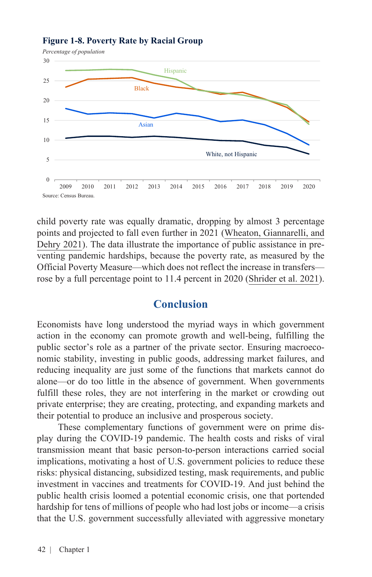

#### **Figure 1-8. Poverty Rate by Racial Group**

child poverty rate was equally dramatic, dropping by almost 3 percentage points and projected to fall even further in 2021 [\(Wheaton, Giannarelli, and](https://www.urban.org/research/publication/2021-poverty-projections-assessing-impact-benefits-and-stimulus-measures) [Dehry 2021](https://www.urban.org/research/publication/2021-poverty-projections-assessing-impact-benefits-and-stimulus-measures)). The data illustrate the importance of public assistance in preventing pandemic hardships, because the poverty rate, as measured by the [Official Poverty Measure](https://www.census.gov/library/publications/2021/demo/p60-273.html)—which does not reflect the increase in transfers rose by a full percentage point to 11.4 percent in 2020 ([Shrider et al. 2021\)](https://www.census.gov/library/publications/2021/demo/p60-273.html).

### **Conclusion**

Economists have long understood the myriad ways in which government action in the economy can promote growth and well-being, fulfilling the public sector's role as a partner of the private sector. Ensuring macroeconomic stability, investing in public goods, addressing market failures, and reducing inequality are just some of the functions that markets cannot do alone—or do too little in the absence of government. When governments fulfill these roles, they are not interfering in the market or crowding out private enterprise; they are creating, protecting, and expanding markets and their potential to produce an inclusive and prosperous society.

These complementary functions of government were on prime display during the COVID-19 pandemic. The health costs and risks of viral transmission meant that basic person-to-person interactions carried social implications, motivating a host of U.S. government policies to reduce these risks: physical distancing, subsidized testing, mask requirements, and public investment in vaccines and treatments for COVID-19. And just behind the public health crisis loomed a potential economic crisis, one that portended hardship for tens of millions of people who had lost jobs or income—a crisis that the U.S. government successfully alleviated with aggressive monetary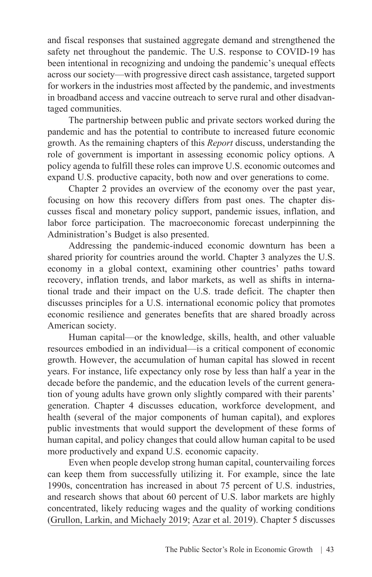and fiscal responses that sustained aggregate demand and strengthened the safety net throughout the pandemic. The U.S. response to COVID-19 has been intentional in recognizing and undoing the pandemic's unequal effects across our society—with progressive direct cash assistance, targeted support for workers in the industries most affected by the pandemic, and investments in broadband access and vaccine outreach to serve rural and other disadvantaged communities.

The partnership between public and private sectors worked during the pandemic and has the potential to contribute to increased future economic growth. As the remaining chapters of this *Report* discuss, understanding the role of government is important in assessing economic policy options. A policy agenda to fulfill these roles can improve U.S. economic outcomes and expand U.S. productive capacity, both now and over generations to come.

Chapter 2 provides an overview of the economy over the past year, focusing on how this recovery differs from past ones. The chapter discusses fiscal and monetary policy support, pandemic issues, inflation, and labor force participation. The macroeconomic forecast underpinning the Administration's Budget is also presented.

Addressing the pandemic-induced economic downturn has been a shared priority for countries around the world. Chapter 3 analyzes the U.S. economy in a global context, examining other countries' paths toward recovery, inflation trends, and labor markets, as well as shifts in international trade and their impact on the U.S. trade deficit. The chapter then discusses principles for a U.S. international economic policy that promotes economic resilience and generates benefits that are shared broadly across American society.

Human capital—or the knowledge, skills, health, and other valuable resources embodied in an individual—is a critical component of economic growth. However, the accumulation of human capital has slowed in recent years. For instance, life expectancy only rose by less than half a year in the decade before the pandemic, and the education levels of the current generation of young adults have grown only slightly compared with their parents' generation. Chapter 4 discusses education, workforce development, and health (several of the major components of human capital), and explores public investments that would support the development of these forms of human capital, and policy changes that could allow human capital to be used more productively and expand U.S. economic capacity.

Even when people develop strong human capital, countervailing forces can keep them from successfully utilizing it. For example, since the late 1990s, concentration has increased in about 75 percent of U.S. industries, and research shows that about 60 percent of U.S. labor markets are highly concentrated, likely reducing wages and the quality of working conditions ([Grullon, Larkin, and Michaely 2019](https://academic.oup.com/rof/article/23/4/697/5477414); [Azar et al. 2019](https://www.nber.org/papers/w24395)). Chapter 5 discusses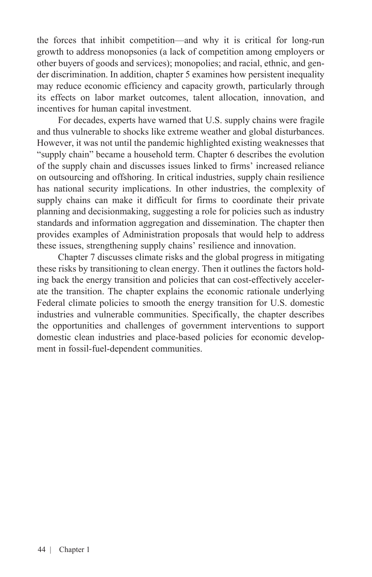the forces that inhibit competition—and why it is critical for long-run growth to address monopsonies (a lack of competition among employers or other buyers of goods and services); monopolies; and racial, ethnic, and gender discrimination. In addition, chapter 5 examines how persistent inequality may reduce economic efficiency and capacity growth, particularly through its effects on labor market outcomes, talent allocation, innovation, and incentives for human capital investment.

For decades, experts have warned that U.S. supply chains were fragile and thus vulnerable to shocks like extreme weather and global disturbances. However, it was not until the pandemic highlighted existing weaknesses that "supply chain" became a household term. Chapter 6 describes the evolution of the supply chain and discusses issues linked to firms' increased reliance on outsourcing and offshoring. In critical industries, supply chain resilience has national security implications. In other industries, the complexity of supply chains can make it difficult for firms to coordinate their private planning and decisionmaking, suggesting a role for policies such as industry standards and information aggregation and dissemination. The chapter then provides examples of Administration proposals that would help to address these issues, strengthening supply chains' resilience and innovation.

Chapter 7 discusses climate risks and the global progress in mitigating these risks by transitioning to clean energy. Then it outlines the factors holding back the energy transition and policies that can cost-effectively accelerate the transition. The chapter explains the economic rationale underlying Federal climate policies to smooth the energy transition for U.S. domestic industries and vulnerable communities. Specifically, the chapter describes the opportunities and challenges of government interventions to support domestic clean industries and place-based policies for economic development in fossil-fuel-dependent communities.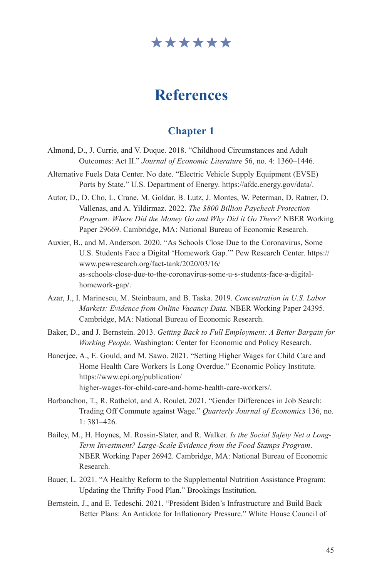## \*\*\*\*\*\*

# **References**

## **Chapter 1**

- Almond, D., J. Currie, and V. Duque. 2018. "Childhood Circumstances and Adult Outcomes: Act II." *Journal of Economic Literature* 56, no. 4: 1360–1446.
- Alternative Fuels Data Center. No date. "Electric Vehicle Supply Equipment (EVSE) Ports by State." U.S. Department of Energy. [https://afdc.energy.gov/data/.](https://afdc.energy.gov/data/)
- Autor, D., D. Cho, L. Crane, M. Goldar, B. Lutz, J. Montes, W. Peterman, D. Ratner, D. Vallenas, and A. Yildirmaz. 2022. *The \$800 Billion Paycheck Protection Program: Where Did the Money Go and Why Did it Go There?* NBER Working Paper 29669. Cambridge, MA: National Bureau of Economic Research.
- Auxier, B., and M. Anderson. 2020. "As Schools Close Due to the Coronavirus, Some U.S. Students Face a Digital 'Homework Gap.'" Pew Research Center. [https://](https://www.pewresearch.org/fact-tank/2020/03/16/as-schools-close-due-to-the-coronavirus-some-u-s-students-face-a-digital-homework-gap/) [www.pewresearch.org/fact-tank/2020/03/16/](https://www.pewresearch.org/fact-tank/2020/03/16/as-schools-close-due-to-the-coronavirus-some-u-s-students-face-a-digital-homework-gap/) [as-schools-close-due-to-the-coronavirus-some-u-s-students-face-a-digital](https://www.pewresearch.org/fact-tank/2020/03/16/as-schools-close-due-to-the-coronavirus-some-u-s-students-face-a-digital-homework-gap/)[homework-gap/.](https://www.pewresearch.org/fact-tank/2020/03/16/as-schools-close-due-to-the-coronavirus-some-u-s-students-face-a-digital-homework-gap/)
- Azar, J., I. Marinescu, M. Steinbaum, and B. Taska. 2019. *Concentration in U.S. Labor Markets: Evidence from Online Vacancy Data.* NBER Working Paper 24395. Cambridge, MA: National Bureau of Economic Research.
- Baker, D., and J. Bernstein. 2013. *Getting Back to Full Employment: A Better Bargain for Working People*. Washington: Center for Economic and Policy Research.
- Banerjee, A., E. Gould, and M. Sawo. 2021. "Setting Higher Wages for Child Care and Home Health Care Workers Is Long Overdue." Economic Policy Institute. [https://www.epi.org/publication/](https://www.epi.org/publication/higher-wages-for-child-care-and-home-health-care-workers/) [higher-wages-for-child-care-and-home-health-care-workers/](https://www.epi.org/publication/higher-wages-for-child-care-and-home-health-care-workers/).
- Barbanchon, T., R. Rathelot, and A. Roulet. 2021. "Gender Differences in Job Search: Trading Off Commute against Wage." *Quarterly Journal of Economics* 136, no. 1: 381–426.
- Bailey, M., H. Hoynes, M. Rossin-Slater, and R. Walker. *Is the Social Safety Net a Long-Term Investment? Large-Scale Evidence from the Food Stamps Program*. NBER Working Paper 26942. Cambridge, MA: National Bureau of Economic Research.
- Bauer, L. 2021. "A Healthy Reform to the Supplemental Nutrition Assistance Program: Updating the Thrifty Food Plan." Brookings Institution.
- Bernstein, J., and E. Tedeschi. 2021. "President Biden's Infrastructure and Build Back Better Plans: An Antidote for Inflationary Pressure." White House Council of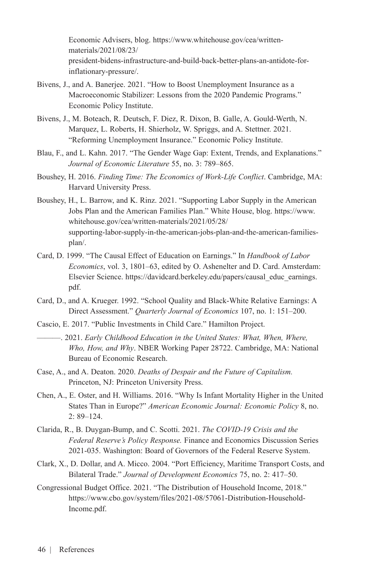Economic Advisers, blog. [https://www.whitehouse.gov/cea/written](https://www.whitehouse.gov/cea/written-materials/2021/08/23/president-bidens-infrastructure-and-build-back-better-plans-an-antidote-for-inflationary-pressure/)[materials/2021/08/23/](https://www.whitehouse.gov/cea/written-materials/2021/08/23/president-bidens-infrastructure-and-build-back-better-plans-an-antidote-for-inflationary-pressure/) [president-bidens-infrastructure-and-build-back-better-plans-an-antidote-for](https://www.whitehouse.gov/cea/written-materials/2021/08/23/president-bidens-infrastructure-and-build-back-better-plans-an-antidote-for-inflationary-pressure/)[inflationary-pressure/](https://www.whitehouse.gov/cea/written-materials/2021/08/23/president-bidens-infrastructure-and-build-back-better-plans-an-antidote-for-inflationary-pressure/).

- Bivens, J., and A. Banerjee. 2021. "How to Boost Unemployment Insurance as a Macroeconomic Stabilizer: Lessons from the 2020 Pandemic Programs." Economic Policy Institute.
- Bivens, J., M. Boteach, R. Deutsch, F. Diez, R. Dixon, B. Galle, A. Gould-Werth, N. Marquez, L. Roberts, H. Shierholz, W. Spriggs, and A. Stettner. 2021. "Reforming Unemployment Insurance." Economic Policy Institute.
- Blau, F., and L. Kahn. 2017. "The Gender Wage Gap: Extent, Trends, and Explanations." *Journal of Economic Literature* 55, no. 3: 789–865.
- Boushey, H. 2016. *Finding Time: The Economics of Work-Life Conflict*. Cambridge, MA: Harvard University Press.
- Boushey, H., L. Barrow, and K. Rinz. 2021. "Supporting Labor Supply in the American Jobs Plan and the American Families Plan." White House, blog. [https://www.](https://www.whitehouse.gov/cea/written-materials/2021/05/28/supporting-labor-supply-in-the-american-jobs-plan-and-the-american-families-plan/) [whitehouse.gov/cea/written-materials/2021/05/28/](https://www.whitehouse.gov/cea/written-materials/2021/05/28/supporting-labor-supply-in-the-american-jobs-plan-and-the-american-families-plan/) [supporting-labor-supply-in-the-american-jobs-plan-and-the-american-families](https://www.whitehouse.gov/cea/written-materials/2021/05/28/supporting-labor-supply-in-the-american-jobs-plan-and-the-american-families-plan/)[plan/.](https://www.whitehouse.gov/cea/written-materials/2021/05/28/supporting-labor-supply-in-the-american-jobs-plan-and-the-american-families-plan/)
- Card, D. 1999. "The Causal Effect of Education on Earnings." In *Handbook of Labor Economics*, vol. 3, 1801–63, edited by O. Ashenelter and D. Card. Amsterdam: Elsevier Science. [https://davidcard.berkeley.edu/papers/causal\\_educ\\_earnings.](https://davidcard.berkeley.edu/papers/causal_educ_earnings.pdf) [pdf.](https://davidcard.berkeley.edu/papers/causal_educ_earnings.pdf)
- Card, D., and A. Krueger. 1992. "School Quality and Black-White Relative Earnings: A Direct Assessment." *Quarterly Journal of Economics* 107, no. 1: 151–200.
- Cascio, E. 2017. "Public Investments in Child Care." Hamilton Project.
- ———. 2021. *Early Childhood Education in the United States: What, When, Where, Who, How, and Why*. NBER Working Paper 28722. Cambridge, MA: National Bureau of Economic Research.
- Case, A., and A. Deaton. 2020. *Deaths of Despair and the Future of Capitalism.*  Princeton, NJ: Princeton University Press.
- Chen, A., E. Oster, and H. Williams. 2016. "Why Is Infant Mortality Higher in the United States Than in Europe?" *American Economic Journal: Economic Policy* 8, no. 2: 89–124.
- Clarida, R., B. Duygan-Bump, and C. Scotti. 2021. *The COVID-19 Crisis and the Federal Reserve's Policy Response.* Finance and Economics Discussion Series 2021-035. Washington: Board of Governors of the Federal Reserve System.
- Clark, X., D. Dollar, and A. Micco. 2004. "Port Efficiency, Maritime Transport Costs, and Bilateral Trade." *Journal of Development Economics* 75, no. 2: 417–50.
- Congressional Budget Office. 2021. "The Distribution of Household Income, 2018." [https://www.cbo.gov/system/files/2021-08/57061-Distribution-Household-](https://www.cbo.gov/system/files/2021-08/57061-Distribution-Household-Income.pdf)[Income.pdf](https://www.cbo.gov/system/files/2021-08/57061-Distribution-Household-Income.pdf).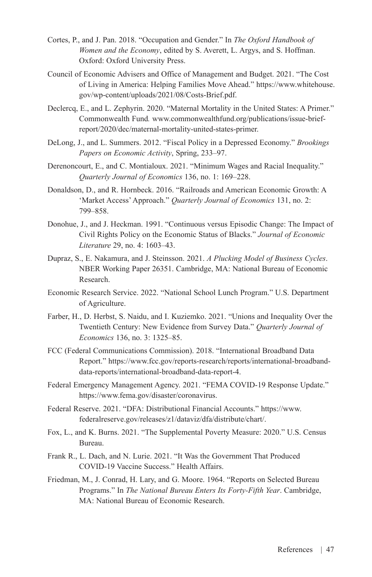- Cortes, P., and J. Pan. 2018. "Occupation and Gender." In *The Oxford Handbook of Women and the Economy*, edited by S. Averett, L. Argys, and S. Hoffman. Oxford: Oxford University Press.
- Council of Economic Advisers and Office of Management and Budget. 2021. "The Cost of Living in America: Helping Families Move Ahead." [https://www.whitehouse.](https://www.whitehouse.gov/wp-content/uploads/2021/08/Costs-Brief.pdf) [gov/wp-content/uploads/2021/08/Costs-Brief.pdf](https://www.whitehouse.gov/wp-content/uploads/2021/08/Costs-Brief.pdf).
- Declercq, E., and L. Zephyrin. 2020. "Maternal Mortality in the United States: A Primer." Commonwealth Fund*.* [www.commonwealthfund.org/publications/issue-brief](http://www.commonwealthfund.org/publications/issue-brief-report/2020/dec/maternal-mortality-united-states-primer)[report/2020/dec/maternal-mortality-united-states-primer.](http://www.commonwealthfund.org/publications/issue-brief-report/2020/dec/maternal-mortality-united-states-primer)
- DeLong, J., and L. Summers. 2012. "Fiscal Policy in a Depressed Economy." *Brookings Papers on Economic Activity*, Spring, 233–97.
- Derenoncourt, E., and C. Montialoux. 2021. "Minimum Wages and Racial Inequality." *Quarterly Journal of Economics* 136, no. 1: 169–228.
- Donaldson, D., and R. Hornbeck. 2016. "Railroads and American Economic Growth: A 'Market Access' Approach." *Quarterly Journal of Economics* 131, no. 2: 799–858.
- Donohue, J., and J. Heckman. 1991. "Continuous versus Episodic Change: The Impact of Civil Rights Policy on the Economic Status of Blacks." *Journal of Economic Literature* 29, no. 4: 1603–43.
- Dupraz, S., E. Nakamura, and J. Steinsson. 2021. *A Plucking Model of Business Cycles*. NBER Working Paper 26351. Cambridge, MA: National Bureau of Economic Research.
- Economic Research Service. 2022. "National School Lunch Program." U.S. Department of Agriculture.
- Farber, H., D. Herbst, S. Naidu, and I. Kuziemko. 2021. "Unions and Inequality Over the Twentieth Century: New Evidence from Survey Data." *Quarterly Journal of Economics* 136, no. 3: 1325–85.
- FCC (Federal Communications Commission). 2018. "International Broadband Data Report." [https://www.fcc.gov/reports-research/reports/international-broadband](https://www.fcc.gov/reports-research/reports/international-broadband-data-reports/international-broadband-data-report-4)[data-reports/international-broadband-data-report-4.](https://www.fcc.gov/reports-research/reports/international-broadband-data-reports/international-broadband-data-report-4)
- Federal Emergency Management Agency. 2021. "FEMA COVID-19 Response Update." [https://www.fema.gov/disaster/coronavirus.](https://www.fema.gov/disaster/coronavirus)
- Federal Reserve. 2021. "DFA: Distributional Financial Accounts." [https://www.](https://www.federalreserve.gov/releases/z1/dataviz/dfa/distribute/chart/) [federalreserve.gov/releases/z1/dataviz/dfa/distribute/chart/.](https://www.federalreserve.gov/releases/z1/dataviz/dfa/distribute/chart/)
- Fox, L., and K. Burns. 2021. "The Supplemental Poverty Measure: 2020." U.S. Census Bureau.
- Frank R., L. Dach, and N. Lurie. 2021. "It Was the Government That Produced COVID-19 Vaccine Success." Health Affairs.
- Friedman, M., J. Conrad, H. Lary, and G. Moore. 1964. "Reports on Selected Bureau Programs." In *The National Bureau Enters Its Forty-Fifth Year*. Cambridge, MA: National Bureau of Economic Research.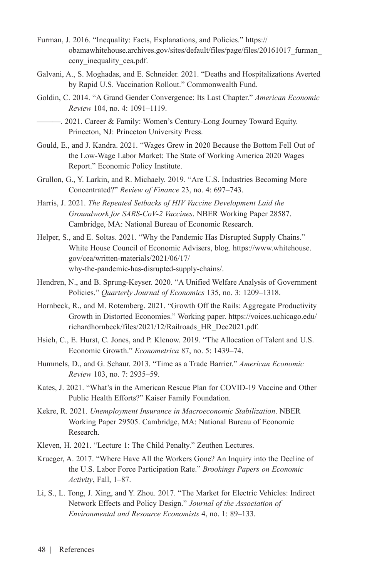- Furman, J. 2016. "Inequality: Facts, Explanations, and Policies." [https://](https://obamawhitehouse.archives.gov/sites/default/files/page/files/20161017_furman_ccny_inequality_cea.pdf) [obamawhitehouse.archives.gov/sites/default/files/page/files/20161017\\_furman\\_](https://obamawhitehouse.archives.gov/sites/default/files/page/files/20161017_furman_ccny_inequality_cea.pdf) ccny inequality cea.pdf.
- Galvani, A., S. Moghadas, and E. Schneider. 2021. "Deaths and Hospitalizations Averted by Rapid U.S. Vaccination Rollout." Commonwealth Fund.
- Goldin, C. 2014. "A Grand Gender Convergence: Its Last Chapter." *American Economic Review* 104, no. 4: 1091–1119.

———. 2021. Career & Family: Women's Century-Long Journey Toward Equity. Princeton, NJ: Princeton University Press.

- Gould, E., and J. Kandra. 2021. "Wages Grew in 2020 Because the Bottom Fell Out of the Low-Wage Labor Market: The State of Working America 2020 Wages Report." Economic Policy Institute.
- Grullon, G., Y. Larkin, and R. Michaely. 2019. "Are U.S. Industries Becoming More Concentrated?" *Review of Finance* 23, no. 4: 697–743.
- Harris, J. 2021. *The Repeated Setbacks of HIV Vaccine Development Laid the Groundwork for SARS-CoV-2 Vaccines*. NBER Working Paper 28587. Cambridge, MA: National Bureau of Economic Research.
- Helper, S., and E. Soltas. 2021. "Why the Pandemic Has Disrupted Supply Chains." White House Council of Economic Advisers, blog. [https://www.whitehouse.](https://www.whitehouse.gov/cea/written-materials/2021/06/17/why-the-pandemic-has-disrupted-supply-chains/) [gov/cea/written-materials/2021/06/17/](https://www.whitehouse.gov/cea/written-materials/2021/06/17/why-the-pandemic-has-disrupted-supply-chains/) [why-the-pandemic-has-disrupted-supply-chains/](https://www.whitehouse.gov/cea/written-materials/2021/06/17/why-the-pandemic-has-disrupted-supply-chains/).
- Hendren, N., and B. Sprung-Keyser. 2020. "A Unified Welfare Analysis of Government Policies." *Quarterly Journal of Economics* 135, no. 3: 1209–1318.
- Hornbeck, R., and M. Rotemberg. 2021. "Growth Off the Rails: Aggregate Productivity Growth in Distorted Economies." Working paper. [https://voices.uchicago.edu/](https://voices.uchicago.edu/richardhornbeck/files/2021/12/Railroads_HR_Dec2021.pdf) [richardhornbeck/files/2021/12/Railroads\\_HR\\_Dec2021.pdf](https://voices.uchicago.edu/richardhornbeck/files/2021/12/Railroads_HR_Dec2021.pdf).
- Hsieh, C., E. Hurst, C. Jones, and P. Klenow. 2019. "The Allocation of Talent and U.S. Economic Growth." *Econometrica* 87, no. 5: 1439–74.
- Hummels, D., and G. Schaur. 2013. "Time as a Trade Barrier." *American Economic Review* 103, no. 7: 2935–59.
- Kates, J. 2021. "What's in the American Rescue Plan for COVID-19 Vaccine and Other Public Health Efforts?" Kaiser Family Foundation.
- Kekre, R. 2021. *Unemployment Insurance in Macroeconomic Stabilization*. NBER Working Paper 29505. Cambridge, MA: National Bureau of Economic Research.
- Kleven, H. 2021. "Lecture 1: The Child Penalty." Zeuthen Lectures.
- Krueger, A. 2017. "Where Have All the Workers Gone? An Inquiry into the Decline of the U.S. Labor Force Participation Rate." *Brookings Papers on Economic Activity*, Fall, 1–87.
- Li, S., L. Tong, J. Xing, and Y. Zhou. 2017. "The Market for Electric Vehicles: Indirect Network Effects and Policy Design." *Journal of the Association of Environmental and Resource Economists* 4, no. 1: 89–133.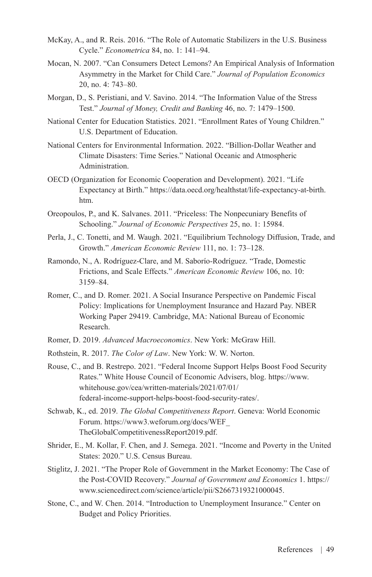- McKay, A., and R. Reis. 2016. "The Role of Automatic Stabilizers in the U.S. Business Cycle." *Econometrica* 84, no. 1: 141–94.
- Mocan, N. 2007. "Can Consumers Detect Lemons? An Empirical Analysis of Information Asymmetry in the Market for Child Care." *Journal of Population Economics* 20, no. 4: 743–80.
- Morgan, D., S. Peristiani, and V. Savino. 2014. "The Information Value of the Stress Test." *Journal of Money, Credit and Banking* 46, no. 7: 1479–1500.
- National Center for Education Statistics. 2021. "Enrollment Rates of Young Children." U.S. Department of Education.
- National Centers for Environmental Information. 2022. "Billion-Dollar Weather and Climate Disasters: Time Series." National Oceanic and Atmospheric Administration.
- OECD (Organization for Economic Cooperation and Development). 2021. "Life Expectancy at Birth." [https://data.oecd.org/healthstat/life-expectancy-at-birth.](https://data.oecd.org/healthstat/life-expectancy-at-birth.htm) [htm](https://data.oecd.org/healthstat/life-expectancy-at-birth.htm).
- Oreopoulos, P., and K. Salvanes. 2011. "Priceless: The Nonpecuniary Benefits of Schooling." *Journal of Economic Perspectives* 25, no. 1: 15984.
- Perla, J., C. Tonetti, and M. Waugh. 2021. "Equilibrium Technology Diffusion, Trade, and Growth." *American Economic Review* 111, no. 1: 73–128.
- Ramondo, N., A. Rodríguez-Clare, and M. Saborío-Rodríguez. "Trade, Domestic Frictions, and Scale Effects." *American Economic Review* 106, no. 10: 3159–84.
- Romer, C., and D. Romer. 2021. A Social Insurance Perspective on Pandemic Fiscal Policy: Implications for Unemployment Insurance and Hazard Pay. NBER Working Paper 29419. Cambridge, MA: National Bureau of Economic Research.
- Romer, D. 2019. *Advanced Macroeconomics*. New York: McGraw Hill.
- Rothstein, R. 2017. *The Color of Law*. New York: W. W. Norton.
- Rouse, C., and B. Restrepo. 2021. "Federal Income Support Helps Boost Food Security Rates." White House Council of Economic Advisers, blog. [https://www.](https://www.whitehouse.gov/cea/written-materials/2021/07/01/federal-income-support-helps-boost-food-security-rates/) [whitehouse.gov/cea/written-materials/2021/07/01/](https://www.whitehouse.gov/cea/written-materials/2021/07/01/federal-income-support-helps-boost-food-security-rates/) [federal-income-support-helps-boost-food-security-rates/](https://www.whitehouse.gov/cea/written-materials/2021/07/01/federal-income-support-helps-boost-food-security-rates/).
- Schwab, K., ed. 2019. *The Global Competitiveness Report*. Geneva: World Economic Forum. [https://www3.weforum.org/docs/WEF\\_](https://www3.weforum.org/docs/WEF_TheGlobalCompetitivenessReport2019.pdf) [TheGlobalCompetitivenessReport2019.pdf](https://www3.weforum.org/docs/WEF_TheGlobalCompetitivenessReport2019.pdf).
- Shrider, E., M. Kollar, F. Chen, and J. Semega. 2021. "Income and Poverty in the United States: 2020." U.S. Census Bureau.
- Stiglitz, J. 2021. "The Proper Role of Government in the Market Economy: The Case of the Post-COVID Recovery." *Journal of Government and Economics* 1. [https://](https://www.sciencedirect.com/science/article/pii/S2667319321000045) [www.sciencedirect.com/science/article/pii/S2667319321000045](https://www.sciencedirect.com/science/article/pii/S2667319321000045).
- Stone, C., and W. Chen. 2014. "Introduction to Unemployment Insurance." Center on Budget and Policy Priorities.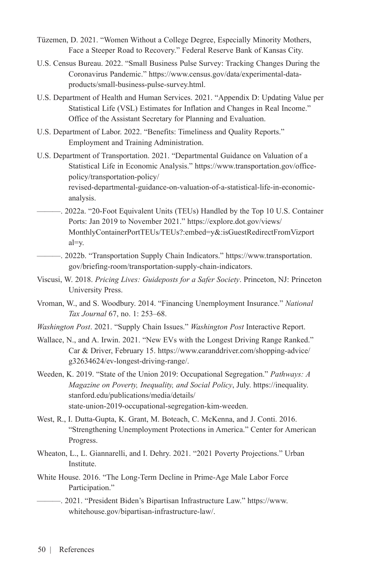- Tüzemen, D. 2021. "Women Without a College Degree, Especially Minority Mothers, Face a Steeper Road to Recovery." Federal Reserve Bank of Kansas City.
- U.S. Census Bureau. 2022. "Small Business Pulse Survey: Tracking Changes During the Coronavirus Pandemic." [https://www.census.gov/data/experimental-data](https://www.census.gov/data/experimental-data-products/small-business-pulse-survey.html)[products/small-business-pulse-survey.html.](https://www.census.gov/data/experimental-data-products/small-business-pulse-survey.html)
- U.S. Department of Health and Human Services. 2021. "Appendix D: Updating Value per Statistical Life (VSL) Estimates for Inflation and Changes in Real Income." Office of the Assistant Secretary for Planning and Evaluation.
- U.S. Department of Labor. 2022. "Benefits: Timeliness and Quality Reports." Employment and Training Administration.
- U.S. Department of Transportation. 2021. "Departmental Guidance on Valuation of a Statistical Life in Economic Analysis." [https://www.transportation.gov/office](https://www.transportation.gov/office-policy/transportation-policy/revised-departmental-guidance-on-valuation-of-a-statistical-life-in-economic-analysis)[policy/transportation-policy/](https://www.transportation.gov/office-policy/transportation-policy/revised-departmental-guidance-on-valuation-of-a-statistical-life-in-economic-analysis) [revised-departmental-guidance-on-valuation-of-a-statistical-life-in-economic](https://www.transportation.gov/office-policy/transportation-policy/revised-departmental-guidance-on-valuation-of-a-statistical-life-in-economic-analysis)[analysis.](https://www.transportation.gov/office-policy/transportation-policy/revised-departmental-guidance-on-valuation-of-a-statistical-life-in-economic-analysis)
- ———. 2022a. "20-Foot Equivalent Units (TEUs) Handled by the Top 10 U.S. Container Ports: Jan 2019 to November 2021." [https://explore.dot.gov/views/](https://explore.dot.gov/views/MonthlyContainerPortTEUs/TEUs?:embed=y&:isGuestRedirectFromVizportal=y) [MonthlyContainerPortTEUs/TEUs?:embed=y&:isGuestRedirectFromVizport](https://explore.dot.gov/views/MonthlyContainerPortTEUs/TEUs?:embed=y&:isGuestRedirectFromVizportal=y) [al=y](https://explore.dot.gov/views/MonthlyContainerPortTEUs/TEUs?:embed=y&:isGuestRedirectFromVizportal=y).
- ———. 2022b. "Transportation Supply Chain Indicators." [https://www.transportation.](https://www.transportation.gov/briefing-room/transportation-supply-chain-indicators) [gov/briefing-room/transportation-supply-chain-indicators.](https://www.transportation.gov/briefing-room/transportation-supply-chain-indicators)
- Viscusi, W. 2018. *Pricing Lives: Guideposts for a Safer Society*. Princeton, NJ: Princeton University Press.
- Vroman, W., and S. Woodbury. 2014. "Financing Unemployment Insurance." *National Tax Journal* 67, no. 1: 253–68.
- *Washington Post*. 2021. "Supply Chain Issues." *Washington Post* Interactive Report.
- Wallace, N., and A. Irwin. 2021. "New EVs with the Longest Driving Range Ranked." Car & Driver, February 15. [https://www.caranddriver.com/shopping-advice/](https://www.caranddriver.com/shopping-advice/g32634624/ev-longest-driving-range/) [g32634624/ev-longest-driving-range/.](https://www.caranddriver.com/shopping-advice/g32634624/ev-longest-driving-range/)
- Weeden, K. 2019. "State of the Union 2019: Occupational Segregation." *Pathways: A Magazine on Poverty, Inequality, and Social Policy*, July. [https://inequality.](https://inequality.stanford.edu/publications/media/details/state-union-2019-occupational-segregation-kim-weeden) [stanford.edu/publications/media/details/](https://inequality.stanford.edu/publications/media/details/state-union-2019-occupational-segregation-kim-weeden) [state-union-2019-occupational-segregation-kim-weeden.](https://inequality.stanford.edu/publications/media/details/state-union-2019-occupational-segregation-kim-weeden)
- West, R., I. Dutta-Gupta, K. Grant, M. Boteach, C. McKenna, and J. Conti. 2016. "Strengthening Unemployment Protections in America." Center for American Progress.
- Wheaton, L., L. Giannarelli, and I. Dehry. 2021. "2021 Poverty Projections." Urban Institute.
- White House. 2016. "The Long-Term Decline in Prime-Age Male Labor Force Participation."

———. 2021. "President Biden's Bipartisan Infrastructure Law." [https://www.](https://www.whitehouse.gov/bipartisan-infrastructure-law/) [whitehouse.gov/bipartisan-infrastructure-law/.](https://www.whitehouse.gov/bipartisan-infrastructure-law/)